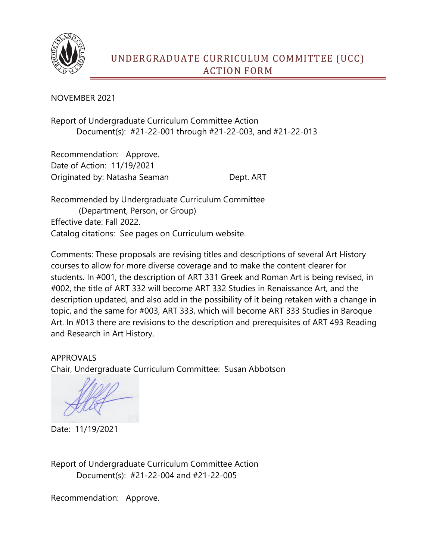

NOVEMBER 2021

Report of Undergraduate Curriculum Committee Action Document(s): #21-22-001 through #21-22-003, and #21-22-013

Recommendation: Approve. Date of Action: 11/19/2021 Originated by: Natasha Seaman Dept. ART

Recommended by Undergraduate Curriculum Committee (Department, Person, or Group) Effective date: Fall 2022. Catalog citations: See pages on Curriculum website.

Comments: These proposals are revising titles and descriptions of several Art History courses to allow for more diverse coverage and to make the content clearer for students. In #001, the description of ART 331 Greek and Roman Art is being revised, in #002, the title of ART 332 will become ART 332 Studies in Renaissance Art, and the description updated, and also add in the possibility of it being retaken with a change in topic, and the same for #003, ART 333, which will become ART 333 Studies in Baroque Art. In #013 there are revisions to the description and prerequisites of ART 493 Reading and Research in Art History.

APPROVALS Chair, Undergraduate Curriculum Committee: Susan Abbotson

Date: 11/19/2021

Report of Undergraduate Curriculum Committee Action Document(s): #21-22-004 and #21-22-005

Recommendation: Approve.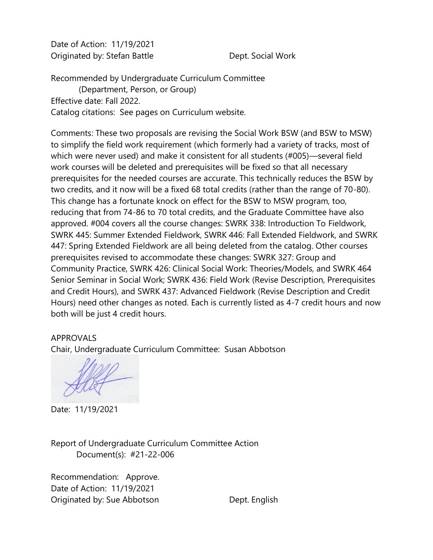Date of Action: 11/19/2021 Originated by: Stefan Battle **Dept. Social Work** 

Recommended by Undergraduate Curriculum Committee (Department, Person, or Group) Effective date: Fall 2022. Catalog citations: See pages on Curriculum website.

Comments: These two proposals are revising the Social Work BSW (and BSW to MSW) to simplify the field work requirement (which formerly had a variety of tracks, most of which were never used) and make it consistent for all students (#005)—several field work courses will be deleted and prerequisites will be fixed so that all necessary prerequisites for the needed courses are accurate. This technically reduces the BSW by two credits, and it now will be a fixed 68 total credits (rather than the range of 70-80). This change has a fortunate knock on effect for the BSW to MSW program, too, reducing that from 74-86 to 70 total credits, and the Graduate Committee have also approved. #004 covers all the course changes: SWRK 338: Introduction To Fieldwork, SWRK 445: Summer Extended Fieldwork, SWRK 446: Fall Extended Fieldwork, and SWRK 447: Spring Extended Fieldwork are all being deleted from the catalog. Other courses prerequisites revised to accommodate these changes: SWRK 327: Group and Community Practice, SWRK 426: Clinical Social Work: Theories/Models, and SWRK 464 Senior Seminar in Social Work; SWRK 436: Field Work (Revise Description, Prerequisites and Credit Hours), and SWRK 437: Advanced Fieldwork (Revise Description and Credit Hours) need other changes as noted. Each is currently listed as 4-7 credit hours and now both will be just 4 credit hours.

## APPROVALS

Chair, Undergraduate Curriculum Committee: Susan Abbotson

Date: 11/19/2021

Report of Undergraduate Curriculum Committee Action Document(s): #21-22-006

Recommendation: Approve. Date of Action: 11/19/2021 Originated by: Sue Abbotson Dept. English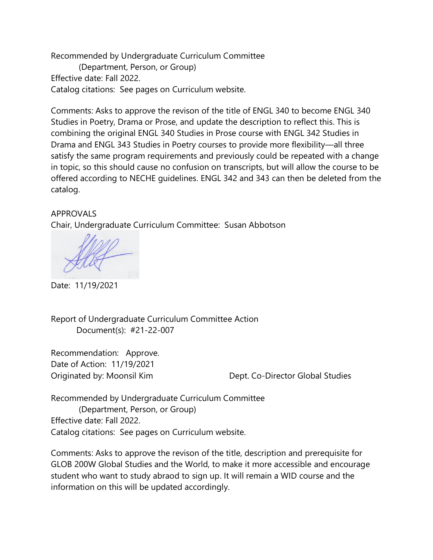Recommended by Undergraduate Curriculum Committee (Department, Person, or Group) Effective date: Fall 2022. Catalog citations: See pages on Curriculum website.

Comments: Asks to approve the revison of the title of ENGL 340 to become ENGL 340 Studies in Poetry, Drama or Prose, and update the description to reflect this. This is combining the original ENGL 340 Studies in Prose course with ENGL 342 Studies in Drama and ENGL 343 Studies in Poetry courses to provide more flexibility—all three satisfy the same program requirements and previously could be repeated with a change in topic, so this should cause no confusion on transcripts, but will allow the course to be offered according to NECHE guidelines. ENGL 342 and 343 can then be deleted from the catalog.

## APPROVALS

Chair, Undergraduate Curriculum Committee: Susan Abbotson

Date: 11/19/2021

Report of Undergraduate Curriculum Committee Action Document(s): #21-22-007

Recommendation: Approve. Date of Action: 11/19/2021

Originated by: Moonsil Kim Dept. Co-Director Global Studies

Recommended by Undergraduate Curriculum Committee (Department, Person, or Group) Effective date: Fall 2022. Catalog citations: See pages on Curriculum website.

Comments: Asks to approve the revison of the title, description and prerequisite for GLOB 200W Global Studies and the World, to make it more accessible and encourage student who want to study abraod to sign up. It will remain a WID course and the information on this will be updated accordingly.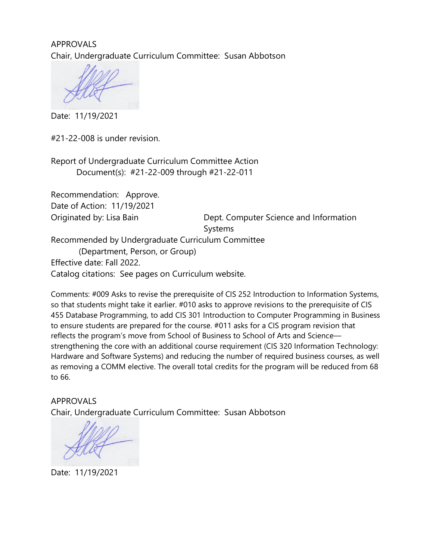APPROVALS Chair, Undergraduate Curriculum Committee: Susan Abbotson

Date: 11/19/2021

#21-22-008 is under revision.

Report of Undergraduate Curriculum Committee Action Document(s): #21-22-009 through #21-22-011

Recommendation: Approve. Date of Action: 11/19/2021

Originated by: Lisa Bain Dept. Computer Science and Information Systems

Recommended by Undergraduate Curriculum Committee

 (Department, Person, or Group) Effective date: Fall 2022. Catalog citations: See pages on Curriculum website.

Comments: #009 Asks to revise the prerequisite of CIS 252 Introduction to Information Systems, so that students might take it earlier. #010 asks to approve revisions to the prerequisite of CIS 455 Database Programming, to add CIS 301 Introduction to Computer Programming in Business to ensure students are prepared for the course. #011 asks for a CIS program revision that reflects the program's move from School of Business to School of Arts and Science strengthening the core with an additional course requirement (CIS 320 Information Technology: Hardware and Software Systems) and reducing the number of required business courses, as well as removing a COMM elective. The overall total credits for the program will be reduced from 68 to 66.

APPROVALS Chair, Undergraduate Curriculum Committee: Susan Abbotson

Date: 11/19/2021